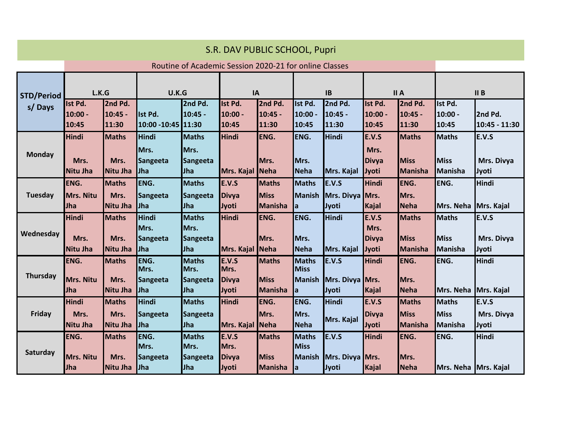| S.R. DAV PUBLIC SCHOOL, Pupri |                                         |                                         |                                                |                                                |                                                        |                                               |                                                    |                                          |                                               |                                               |                                               |                              |
|-------------------------------|-----------------------------------------|-----------------------------------------|------------------------------------------------|------------------------------------------------|--------------------------------------------------------|-----------------------------------------------|----------------------------------------------------|------------------------------------------|-----------------------------------------------|-----------------------------------------------|-----------------------------------------------|------------------------------|
|                               |                                         |                                         |                                                |                                                | Routine of Academic Session 2020-21 for online Classes |                                               |                                                    |                                          |                                               |                                               |                                               |                              |
| <b>STD/Period</b><br>s/Days   | L.K.G                                   |                                         | U.K.G                                          |                                                | <b>IA</b>                                              |                                               | IB                                                 |                                          | II A                                          |                                               | II B                                          |                              |
|                               | Ist Pd.<br>10:00 -<br>10:45             | 2nd Pd.<br>$10:45 -$<br>11:30           | Ist Pd.<br>10:00 -10:45 11:30                  | 2nd Pd.<br>$10:45 -$                           | Ist Pd.<br>10:00 -<br>10:45                            | 2nd Pd.<br>10:45 -<br>11:30                   | Ist Pd.<br>10:00 -<br>10:45                        | 2nd Pd.<br>$10:45 -$<br>11:30            | Ist Pd.<br>10:00 -<br>10:45                   | 2nd Pd.<br>$10:45 -$<br>11:30                 | Ist Pd.<br>$10:00 -$<br>10:45                 | 2nd Pd.<br>10:45 - 11:30     |
| Monday                        | Hindi<br>Mrs.<br><b>Nitu Jha</b>        | <b>Maths</b><br>Mrs.<br><b>Nitu Jha</b> | Hindi<br>Mrs.<br><b>Sangeeta</b><br><b>Jha</b> | <b>Maths</b><br>Mrs.<br><b>Sangeeta</b><br>Jha | <b>Hindi</b><br>Mrs. Kajal Neha                        | ENG.<br>Mrs.                                  | ENG.<br>Mrs.<br>Neha                               | Hindi<br>Mrs. Kajal                      | E.V.S<br>Mrs.<br><b>Divya</b><br><b>Jyoti</b> | <b>Maths</b><br><b>Miss</b><br><b>Manisha</b> | <b>Maths</b><br><b>Miss</b><br><b>Manisha</b> | E.V.S<br>Mrs. Divya<br>Jyoti |
| Tuesday                       | ENG.<br>Mrs. Nitu<br>Jha                | <b>Maths</b><br>Mrs.<br><b>Nitu Jha</b> | ENG.<br><b>Sangeeta</b><br><b>Jha</b>          | <b>Maths</b><br>Sangeeta<br>Jha                | E.V.S<br><b>Divya</b><br>Jyoti                         | <b>Maths</b><br><b>Miss</b><br><b>Manisha</b> | <b>Maths</b><br><b>Manish</b><br>la                | E.V.S<br>Mrs. Divya Mrs.<br>Jyoti        | <b>Hindi</b><br>Kajal                         | ENG.<br>Mrs.<br><b>Neha</b>                   | ENG.<br>Mrs. Neha Mrs. Kajal                  | <b>Hindi</b>                 |
| Wednesday                     | <b>Hindi</b><br>Mrs.<br>Nitu Jha        | <b>Maths</b><br>Mrs.<br><b>Nitu Jha</b> | <b>Hindi</b><br>Mrs.<br>Sangeeta<br><b>Jha</b> | <b>Maths</b><br>Mrs.<br><b>Sangeeta</b><br>Jha | <b>Hindi</b><br>Mrs. Kajal                             | ENG.<br>Mrs.<br>Neha                          | ENG.<br>Mrs.<br>Neha                               | <b>Hindi</b><br>Mrs. Kajal               | E.V.S<br>Mrs.<br><b>Divya</b><br>Jyoti        | <b>Maths</b><br><b>Miss</b><br>Manisha        | <b>Maths</b><br><b>Miss</b><br><b>Manisha</b> | E.V.S<br>Mrs. Divya<br>Jyoti |
| <b>Thursday</b>               | ENG.<br><b>IMrs. Nitu</b><br>Jha        | <b>Maths</b><br>Mrs.<br><b>Nitu Jha</b> | ENG.<br>Mrs.<br>Sangeeta<br><b>Jha</b>         | <b>Maths</b><br>Mrs.<br><b>Sangeeta</b><br>Jha | E.V.S<br>Mrs.<br><b>Divya</b><br>Jyoti                 | <b>Maths</b><br><b>Miss</b><br><b>Manisha</b> | <b>Maths</b><br><b>Miss</b><br><b>Manish</b><br>la | E.V.S<br>Mrs. Divya Mrs.<br>Jyoti        | <b>Hindi</b><br>Kajal                         | ENG.<br>Mrs.<br><b>Neha</b>                   | ENG.<br>Mrs. Neha Mrs. Kajal                  | <b>Hindi</b>                 |
| Friday                        | <b>Hindi</b><br>Mrs.<br><b>Nitu Jha</b> | <b>Maths</b><br>Mrs.<br>Nitu Jha        | <b>Hindi</b><br>Sangeeta<br><b>Jha</b>         | <b>Maths</b><br><b>Sangeeta</b><br>Jha         | <b>Hindi</b><br>Mrs. Kajal Neha                        | ENG.<br>Mrs.                                  | ENG.<br>Mrs.<br><b>Neha</b>                        | <b>Hindi</b><br>Mrs. Kajal               | E.V.S<br><b>Divya</b><br><b>Jyoti</b>         | <b>Maths</b><br><b>Miss</b><br><b>Manisha</b> | <b>Maths</b><br><b>Miss</b><br><b>Manisha</b> | E.V.S<br>Mrs. Divya<br>Jyoti |
| Saturday                      | ENG.<br><b>Mrs. Nitu</b><br>Jha         | <b>Maths</b><br>Mrs.<br><b>Nitu Jha</b> | ENG.<br>Mrs.<br><b>Sangeeta</b><br><b>Jha</b>  | <b>Maths</b><br>Mrs.<br><b>Sangeeta</b><br>Jha | E.V.S<br>Mrs.<br><b>Divya</b><br>Jyoti                 | <b>Maths</b><br><b>Miss</b><br><b>Manisha</b> | <b>Maths</b><br><b>Miss</b><br><b>Manish</b><br>la | <b>E.V.S</b><br>Mrs. Divya Mrs.<br>Jyoti | <b>Hindi</b><br>Kajal                         | ENG.<br>Mrs.<br>Neha                          | ENG.<br>Mrs. Neha Mrs. Kajal                  | <b>Hindi</b>                 |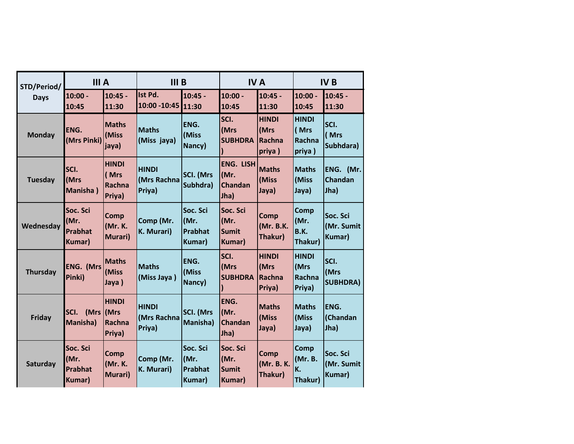| STD/Period/     | <b>III</b> A                                         |                                           | III <sub>B</sub>                      |                                       | <b>IVA</b>                                         |                                          | IV <sub>B</sub>                          |                                  |  |
|-----------------|------------------------------------------------------|-------------------------------------------|---------------------------------------|---------------------------------------|----------------------------------------------------|------------------------------------------|------------------------------------------|----------------------------------|--|
| <b>Days</b>     | $10:00 -$<br>10:45                                   | $10:45 -$<br>11:30                        | Ist Pd.<br>10:00 -10:45               | 10:45 -<br>11:30                      | $10:00 -$<br>10:45                                 | $10:45 -$<br>11:30                       | $10:00 -$<br>10:45                       | $10:45 -$<br>11:30               |  |
| <b>Monday</b>   | ENG.<br>(Mrs Pinki)                                  | <b>Maths</b><br>(Miss<br>jaya)            | <b>Maths</b><br>(Miss jaya)           | FNG.<br>(Miss<br>Nancy)               | SCI.<br>(Mrs<br><b>SUBHDRA</b>                     | <b>HINDI</b><br>(Mrs<br>Rachna<br>priya) | <b>HINDI</b><br>(Mrs<br>Rachna<br>priya) | SCI.<br>(Mrs<br>Subhdara)        |  |
| <b>Tuesday</b>  | SCI.<br>(Mrs<br>Manisha)                             | <b>HINDI</b><br>(Mrs<br>Rachna<br>Priya)  | <b>HINDI</b><br>(Mrs Rachna<br>Priya) | <b>SCI.</b> (Mrs<br>Subhdra)          | <b>ENG. LISH</b><br>(Mr.<br><b>Chandan</b><br>Jha) | <b>Maths</b><br>(Miss<br>Jaya)           | <b>Maths</b><br>(Miss<br>Jaya)           | ENG. (Mr.<br>Chandan<br>Jha)     |  |
| Wednesday       | Soc. Sci<br>(Mr.<br><b>Prabhat</b><br><b>Kumar</b> ) | Comp<br>(Mr. K.<br>Murari)                | Comp (Mr.<br>K. Murari)               | Soc. Sci<br>(Mr.<br>Prabhat<br>Kumar) | Soc. Sci<br>(Mr.<br><b>Sumit</b><br>Kumar)         | Comp<br>(Mr. B.K.<br>Thakur)             | Comp<br>(Mr.<br>B.K.<br>Thakur)          | Soc. Sci<br>(Mr. Sumit<br>Kumar) |  |
| <b>Thursday</b> | <b>ENG. (Mrs</b><br>Pinki)                           | <b>Maths</b><br>(Miss<br>Jaya)            | <b>Maths</b><br>(Miss Jaya)           | FNG.<br>(Miss<br>Nancy)               | SCI.<br>(Mrs<br><b>SUBHDRA</b>                     | <b>HINDI</b><br>(Mrs<br>Rachna<br>Priya) | <b>HINDI</b><br>(Mrs<br>Rachna<br>Priya) | SCI.<br>(Mrs<br><b>SUBHDRA)</b>  |  |
| Friday          | (Mrs   (Mrs<br><b>SCI.</b><br><b>Manisha)</b>        | <b>HINDI</b><br>Rachna<br>Priya)          | <b>HINDI</b><br>(Mrs Rachna<br>Priya) | <b>SCI. (Mrs</b><br><b>Manisha)</b>   | ENG.<br>(Mr.<br>Chandan<br>Jha)                    | <b>Maths</b><br>(Miss<br>Jaya)           | <b>Maths</b><br>(Miss<br>Jaya)           | ENG.<br>(Chandan<br>Jha)         |  |
| Saturday        | Soc. Sci<br>(Mr.<br>Prabhat<br>Kumar)                | <b>Comp</b><br>(Mr. K.<br><b>Murari</b> ) | Comp (Mr.<br>K. Murari)               | Soc. Sci<br>(Mr.<br>Prabhat<br>Kumar) | Soc. Sci<br>(Mr.<br><b>Sumit</b><br>Kumar)         | <b>Comp</b><br>(Mr. B. K.<br>Thakur)     | Comp<br>(Mr. B.<br>K.<br>Thakur)         | Soc. Sci<br>(Mr. Sumit<br>Kumar) |  |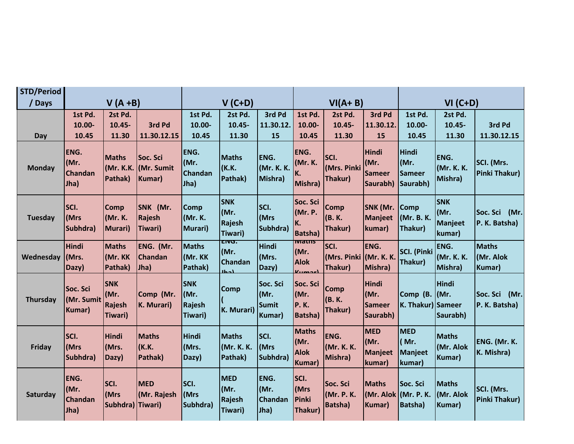| STD/Period      |                                               |                                         |                                            |                                         |                                         |                                            |                                                   |                                           |                                                    |                                                   |                                             |                                     |
|-----------------|-----------------------------------------------|-----------------------------------------|--------------------------------------------|-----------------------------------------|-----------------------------------------|--------------------------------------------|---------------------------------------------------|-------------------------------------------|----------------------------------------------------|---------------------------------------------------|---------------------------------------------|-------------------------------------|
| / Days          |                                               | $V(A+B)$                                |                                            | $V(C+D)$                                |                                         |                                            | $VI(A + B)$                                       |                                           |                                                    | $VI (C+D)$                                        |                                             |                                     |
| Day             | 1st Pd.<br>10.00-<br>10.45                    | 2st Pd.<br>10.45-<br>11.30              | 3rd Pd<br>11.30.12.15                      | 1st Pd.<br>10.00-<br>10.45              | 2st Pd.<br>10.45-<br>11.30              | 3rd Pd<br>11.30.12.<br>15                  | 1st Pd.<br>10.00-<br>10.45                        | 2st Pd.<br>10.45-<br>11.30                | 3rd Pd<br>11.30.12.<br>15                          | 1st Pd.<br>10.00-<br>10.45                        | 2st Pd.<br>10.45-<br>11.30                  | 3rd Pd<br>11.30.12.15               |
| <b>Monday</b>   | <b>ENG.</b><br>(Mr.<br><b>Chandan</b><br>Jha) | <b>Maths</b><br>Pathak)                 | Soc. Sci<br>(Mr. K.K. (Mr. Sumit<br>Kumar) | ENG.<br>(Mr.<br>Chandan<br>Jha)         | <b>Maths</b><br>(K.K.<br>Pathak)        | ENG.<br>(Mr. K. K.<br>Mishra)              | <b>ENG.</b><br>(Mr. K.<br>K.<br>Mishra)           | SCI.<br>(Mrs. Pinki<br>Thakur)            | <b>Hindi</b><br>l(Mr.<br><b>Sameer</b><br>Saurabh) | <b>Hindi</b><br>(Mr.<br><b>Sameer</b><br>Saurabh) | ENG.<br>(Mr. K. K.<br>Mishra)               | SCI. (Mrs.<br>Pinki Thakur)         |
| <b>Tuesday</b>  | SCI.<br>(Mrs<br>Subhdra)                      | <b>Comp</b><br>(Mr. K.<br>Murari)       | SNK (Mr.<br>Rajesh<br>Tiwari)              | Comp<br>(Mr. K.<br>Murari)              | <b>SNK</b><br>(Mr.<br>Rajesh<br>Tiwari) | SCI.<br>(Mrs<br>Subhdra)                   | Soc. Sci<br>(Mr. P.<br>lĸ.<br><b>Batsha)</b>      | <b>Comp</b><br>(B. K.<br>Thakur)          | SNK (Mr.<br>Manjeet<br>kumar)                      | <b>Comp</b><br>(Mr. B. K.<br>Thakur)              | <b>SNK</b><br>(Mr.<br>Manjeet<br>kumar)     | Soc. Sci (Mr.<br>P. K. Batsha)      |
| Wednesday       | Hindi<br>(Mrs.<br>Dazy)                       | <b>Maths</b><br>(Mr. KK<br>Pathak)      | ENG. (Mr.<br><b>Chandan</b><br>Jha)        | <b>Maths</b><br>(Mr. KK<br>Pathak)      | EIVU.<br>(Mr.<br>Chandan<br>أدمانا      | Hindi<br>(Mrs.<br>Dazy)                    | <u>ाणवतााऽ</u><br>(Mr.<br><b>Alok</b>             | SCI.<br>(Mrs. Pinki (Mr. K. K.<br>Thakur) | ENG.<br>Mishra)                                    | <b>SCI.</b> (Pinki<br>Thakur)                     | ENG.<br>(Mr. K. K.<br>Mishra)               | <b>Maths</b><br>(Mr. Alok<br>Kumar) |
| <b>Thursday</b> | Soc. Sci<br>(Mr. Sumit<br><b>Kumar</b> )      | <b>SNK</b><br>(Mr.<br>Rajesh<br>Tiwari) | Comp (Mr.<br>K. Murari)                    | <b>SNK</b><br>(Mr.<br>Rajesh<br>Tiwari) | <b>Comp</b><br>K. Murari)               | Soc. Sci<br>(Mr.<br><b>Sumit</b><br>Kumar) | Soc. Sci<br>(Mr.<br><b>P.K.</b><br><b>Batsha)</b> | <b>Comp</b><br>(B. K.<br>Thakur)          | <b>Hindi</b><br>Mr.<br><b>Sameer</b><br>Saurabh)   | Comp (B. (Mr.<br>K. Thakur) Sameer                | <b>Hindi</b><br>Saurabh)                    | Soc. Sci (Mr.<br>P. K. Batsha)      |
| Friday          | SCI.<br>(Mrs<br>Subhdra)                      | Hindi<br>(Mrs.<br>Dazy)                 | <b>Maths</b><br>(K.K.<br>Pathak)           | <b>Hindi</b><br>(Mrs.<br>Dazy)          | Maths<br>(Mr. K. K.<br>Pathak)          | SCI.<br>(Mrs<br>Subhdra)                   | <b>Maths</b><br>(Mr.<br><b>Alok</b><br>Kumar)     | ENG.<br>(Mr. K. K.<br>Mishra)             | <b>MED</b><br>Mr.<br><b>Manjeet</b><br>kumar)      | <b>MED</b><br>(Mr.<br><b>Manjeet</b><br>kumar)    | <b>Maths</b><br>(Mr. Alok<br><b>Kumar</b> ) | ENG. (Mr. K.<br>K. Mishra)          |
| Saturday        | ENG.<br>(Mr.<br><b>Chandan</b><br>Jha)        | SCI.<br>(Mrs<br>Subhdra) Tiwari)        | <b>MED</b><br>(Mr. Rajesh                  | SCI.<br>(Mrs<br>Subhdra)                | <b>MED</b><br>(Mr.<br>Rajesh<br>Tiwari) | ENG.<br>(Mr.<br><b>Chandan</b><br>Jha)     | SCI.<br>(Mrs<br>Pinki<br>Thakur)                  | Soc. Sci<br>(Mr. P. K.<br><b>Batsha)</b>  | <b>Maths</b><br>(Mr. Alok (Mr. P. K.<br>Kumar)     | Soc. Sci<br><b>Batsha)</b>                        | <b>Maths</b><br>(Mr. Alok<br><b>Kumar</b> ) | SCI. (Mrs.<br><b>Pinki Thakur)</b>  |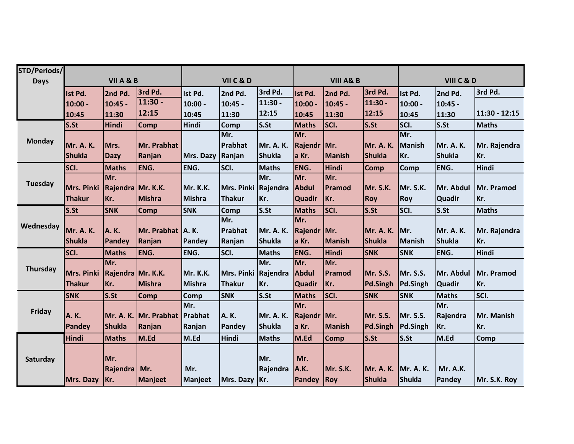| STD/Periods/    |                  |                   |                       |                |                     |                  |               |                      |               |                 |                 |                    |  |
|-----------------|------------------|-------------------|-----------------------|----------------|---------------------|------------------|---------------|----------------------|---------------|-----------------|-----------------|--------------------|--|
| <b>Days</b>     | VII A & B        |                   |                       |                | VII C & D           |                  |               | <b>VIII A&amp; B</b> |               |                 | VIII C & D      |                    |  |
|                 | Ist Pd.          | 2nd Pd.           | 3rd Pd.               | Ist Pd.        | 2nd Pd.             | 3rd Pd.          | Ist Pd.       | 2nd Pd.              | 3rd Pd.       | Ist Pd.         | 2nd Pd.         | 3rd Pd.            |  |
|                 | 10:00 -          | 10:45 -           | $11:30 -$             | $10:00 -$      | 10:45 -             | 11:30 -          | $10:00 -$     | $10:45 -$            | 11:30 -       | $10:00 -$       | $10:45 -$       |                    |  |
|                 | 10:45            | 11:30             | 12:15                 | 10:45          | 11:30               | 12:15            | 10:45         | 11:30                | 12:15         | 10:45           | 11:30           | $ 11:30 - 12:15$   |  |
|                 | S.St             | Hindi             | <b>Comp</b>           | Hindi          | <b>Comp</b>         | S.St             | <b>Maths</b>  | SCI.                 | S.St          | SCI.            | S.St            | <b>Maths</b>       |  |
| <b>Monday</b>   |                  |                   |                       |                | Mr.                 |                  | Mr.           |                      |               | Mr.             |                 |                    |  |
|                 | Mr. A. K.        | Mrs.              | Mr. Prabhat           |                | Prabhat             | <b>Mr. A. K.</b> | Rajendr   Mr. |                      | Mr. A. K.     | <b>Manish</b>   | Mr. A. K.       | Mr. Rajendra       |  |
|                 | <b>Shukla</b>    | <b>Dazy</b>       | Ranjan                | Mrs. Dazy      | Ranjan              | <b>Shukla</b>    | a Kr.         | <b>Manish</b>        | <b>Shukla</b> | Kr.             | <b>Shukla</b>   | Kr.                |  |
|                 | SCI.             | <b>Maths</b>      | ENG.                  | ENG.           | SCI.                | <b>Maths</b>     | ENG.          | <b>Hindi</b>         | <b>Comp</b>   | <b>Comp</b>     | ENG.            | <b>Hindi</b>       |  |
| <b>Tuesday</b>  |                  | Mr.               |                       |                |                     | Mr.              | Mr.           | Mr.                  |               |                 |                 |                    |  |
|                 | Mrs. Pinki       | Rajendra Mr. K.K. |                       | Mr. K.K.       | Mrs. Pinki Rajendra |                  | Abdul         | Pramod               | Mr. S.K.      | Mr. S.K.        | Mr. Abdul       | Mr. Pramod         |  |
|                 | <b>Thakur</b>    | Kr.               | Mishra                | <b>Mishra</b>  | <b>Thakur</b>       | Kr.              | <b>Quadir</b> | Kr.                  | <b>Roy</b>    | Roy             | <b>Quadir</b>   | Kr.                |  |
| Wednesday       | S.St             | <b>SNK</b>        | Comp                  | <b>SNK</b>     | <b>Comp</b>         | S.St             | <b>Maths</b>  | SCI.                 | S.St          | SCI.            | S.St            | <b>Maths</b>       |  |
|                 |                  |                   |                       |                | Mr.                 |                  | Mr.           |                      |               |                 |                 |                    |  |
|                 | <b>Mr. A. K.</b> | A.K.              | Mr. Prabhat   A. K.   |                | Prabhat             | <b>Mr. A. K.</b> | Rajendr   Mr. |                      | Mr. A. K.     | Mr.             | Mr. A. K.       | Mr. Rajendra       |  |
|                 | <b>Shukla</b>    | Pandey            | Ranjan                | Pandey         | Ranjan              | <b>Shukla</b>    | a Kr.         | <b>Manish</b>        | <b>Shukla</b> | <b>Manish</b>   | <b>Shukla</b>   | Kr.                |  |
|                 | SCI.             | <b>Maths</b>      | ENG.                  | ENG.           | SCI.                | <b>Maths</b>     | ENG.          | Hindi                | <b>SNK</b>    | <b>SNK</b>      | ENG.            | Hindi              |  |
| <b>Thursday</b> |                  | Mr.               |                       |                |                     | Mr.              | Mr.           | Mr.                  |               |                 |                 |                    |  |
|                 | Mrs. Pinki       | Rajendra Mr. K.K. |                       | Mr. K.K.       | Mrs. Pinki Rajendra |                  | Abdul         | Pramod               | Mr. S.S.      | <b>Mr. S.S.</b> | Mr. Abdul       | Mr. Pramod         |  |
|                 | <b>Thakur</b>    | Kr.               | Mishra                | <b>Mishra</b>  | <b>Thakur</b>       | Kr.              | Quadir        | Kr.                  | Pd.Singh      | <b>Pd.Singh</b> | <b>Quadir</b>   | Kr.                |  |
|                 | <b>SNK</b>       | S.St              | Comp                  | Comp           | <b>SNK</b>          | S.St             | <b>Maths</b>  | SCI.                 | <b>SNK</b>    | <b>SNK</b>      | <b>Maths</b>    | SCI.               |  |
| Friday          |                  |                   |                       | Mr.            |                     |                  | Mr.           |                      |               |                 | Mr.             |                    |  |
|                 | <b>A.K.</b>      |                   | Mr. A. K. Mr. Prabhat | Prabhat        | A.K.                | <b>Mr. A. K.</b> | Rajendr   Mr. |                      | Mr. S.S.      | <b>Mr. S.S.</b> | <b>Rajendra</b> | <b>IMr. Manish</b> |  |
|                 | Pandey           | <b>Shukla</b>     | Ranjan                | Ranjan         | Pandey              | <b>Shukla</b>    | a Kr.         | <b>Manish</b>        | Pd.Singh      | Pd.Singh        | Kr.             | Kr.                |  |
|                 | <b>Hindi</b>     | <b>Maths</b>      | M.Ed                  | M.Ed           | <b>Hindi</b>        | <b>Maths</b>     | M.Ed          | <b>Comp</b>          | S.St          | S.St            | M.Ed            | <b>Comp</b>        |  |
|                 |                  |                   |                       |                |                     |                  |               |                      |               |                 |                 |                    |  |
| Saturday        |                  | Mr.               |                       |                |                     | Mr.              | Mr.           |                      |               |                 |                 |                    |  |
|                 |                  | Rajendra   Mr.    |                       | Mr.            |                     | Rajendra         | A.K.          | Mr. S.K.             | Mr. A. K.     | Mr. A. K.       | Mr. A.K.        |                    |  |
|                 | Mrs. Dazy        | Kr.               | Manjeet               | <b>Manjeet</b> | Mrs. Dazy Kr.       |                  | Pandey        | <b>Roy</b>           | <b>Shukla</b> | <b>Shukla</b>   | Pandey          | Mr. S.K. Roy       |  |